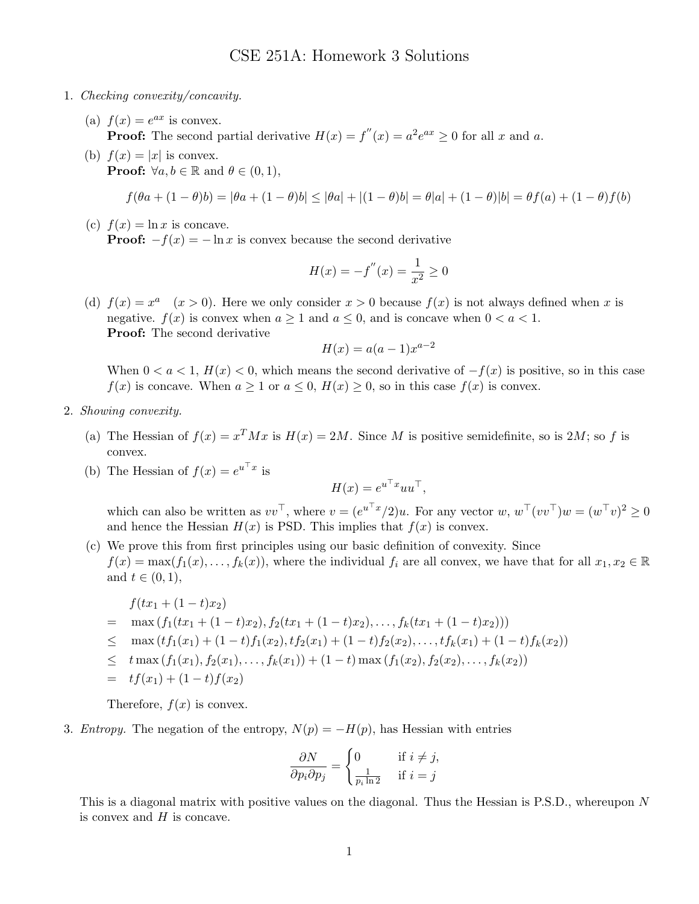## CSE 251A: Homework 3 Solutions

- 1. Checking convexity/concavity.
	- (a)  $f(x) = e^{ax}$  is convex. **Proof:** The second partial derivative  $H(x) = f''(x) = a^2 e^{ax} \ge 0$  for all x and a.
	- (b)  $f(x) = |x|$  is convex. **Proof:**  $\forall a, b \in \mathbb{R}$  and  $\theta \in (0, 1)$ ,

$$
f(\theta a + (1 - \theta)b) = |\theta a + (1 - \theta)b| \leq |\theta a| + |(1 - \theta)b| = \theta|a| + (1 - \theta)|b| = \theta f(a) + (1 - \theta)f(b)
$$

(c)  $f(x) = \ln x$  is concave. **Proof:**  $-f(x) = -\ln x$  is convex because the second derivative

$$
H(x) = -f''(x) = \frac{1}{x^2} \ge 0
$$

(d)  $f(x) = x^a$   $(x > 0)$ . Here we only consider  $x > 0$  because  $f(x)$  is not always defined when x is negative.  $f(x)$  is convex when  $a \ge 1$  and  $a \le 0$ , and is concave when  $0 < a < 1$ . Proof: The second derivative

$$
H(x) = a(a-1)x^{a-2}
$$

When  $0 < a < 1$ ,  $H(x) < 0$ , which means the second derivative of  $-f(x)$  is positive, so in this case  $f(x)$  is concave. When  $a \ge 1$  or  $a \le 0$ ,  $H(x) \ge 0$ , so in this case  $f(x)$  is convex.

- 2. Showing convexity.
	- (a) The Hessian of  $f(x) = x^T M x$  is  $H(x) = 2M$ . Since M is positive semidefinite, so is 2M; so f is convex.
	- (b) The Hessian of  $f(x) = e^{u^\top x}$  is

$$
H(x) = e^{u^\top x} u u^\top,
$$

which can also be written as  $vv^{\top}$ , where  $v = (e^{u^{\top}x}/2)u$ . For any vector  $w, w^{\top}(vv^{\top})w = (w^{\top}v)^{2} \geq 0$ and hence the Hessian  $H(x)$  is PSD. This implies that  $f(x)$  is convex.

(c) We prove this from first principles using our basic definition of convexity. Since  $f(x) = \max(f_1(x), \ldots, f_k(x))$ , where the individual  $f_i$  are all convex, we have that for all  $x_1, x_2 \in \mathbb{R}$ and  $t \in (0,1)$ ,

$$
f(tx_1 + (1-t)x_2)
$$
  
=  $\max (f_1(tx_1 + (1-t)x_2), f_2(tx_1 + (1-t)x_2), ..., f_k(tx_1 + (1-t)x_2)))$   

$$
\leq \max (tf_1(x_1) + (1-t)f_1(x_2), tf_2(x_1) + (1-t)f_2(x_2), ..., tf_k(x_1) + (1-t)f_k(x_2))
$$
  

$$
\leq t \max (f_1(x_1), f_2(x_1), ..., f_k(x_1)) + (1-t) \max (f_1(x_2), f_2(x_2), ..., f_k(x_2))
$$
  
=  $tf(x_1) + (1-t)f(x_2)$ 

Therefore,  $f(x)$  is convex.

3. *Entropy*. The negation of the entropy,  $N(p) = -H(p)$ , has Hessian with entries

$$
\frac{\partial N}{\partial p_i \partial p_j} = \begin{cases} 0 & \text{if } i \neq j, \\ \frac{1}{p_i \ln 2} & \text{if } i = j \end{cases}
$$

This is a diagonal matrix with positive values on the diagonal. Thus the Hessian is P.S.D., whereupon N is convex and  $H$  is concave.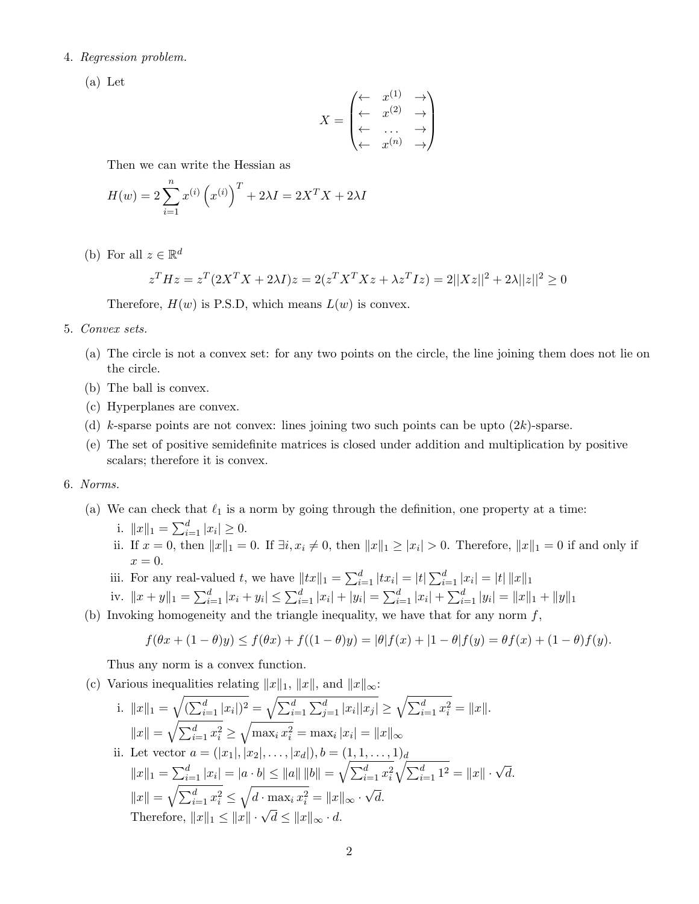## 4. Regression problem.

(a) Let

$$
X = \begin{pmatrix} \leftarrow & x^{(1)} & \rightarrow \\ \leftarrow & x^{(2)} & \rightarrow \\ \leftarrow & \cdots & \rightarrow \\ \leftarrow & x^{(n)} & \rightarrow \end{pmatrix}
$$

Then we can write the Hessian as

$$
H(w) = 2\sum_{i=1}^{n} x^{(i)} (x^{(i)})^{T} + 2\lambda I = 2X^{T}X + 2\lambda I
$$

(b) For all  $z \in \mathbb{R}^d$ 

$$
z^T H z = z^T (2X^T X + 2\lambda I) z = 2(z^T X^T X z + \lambda z^T I z) = 2||Xz||^2 + 2\lambda ||z||^2 \ge 0
$$

Therefore,  $H(w)$  is P.S.D, which means  $L(w)$  is convex.

- 5. Convex sets.
	- (a) The circle is not a convex set: for any two points on the circle, the line joining them does not lie on the circle.
	- (b) The ball is convex.
	- (c) Hyperplanes are convex.
	- (d) k-sparse points are not convex: lines joining two such points can be upto  $(2k)$ -sparse.
	- (e) The set of positive semidefinite matrices is closed under addition and multiplication by positive scalars; therefore it is convex.

## 6. Norms.

- (a) We can check that  $\ell_1$  is a norm by going through the definition, one property at a time:
	- i.  $||x||_1 = \sum_{i=1}^d |x_i| \ge 0.$
	- ii. If  $x = 0$ , then  $||x||_1 = 0$ . If  $\exists i, x_i \neq 0$ , then  $||x||_1 \ge |x_i| > 0$ . Therefore,  $||x||_1 = 0$  if and only if  $x=0.$
	- iii. For any real-valued t, we have  $||tx||_1 = \sum_{i=1}^d |tx_i| = |t| \sum_{i=1}^d |x_i| = |t| ||x||_1$
	- iv.  $||x + y||_1 = \sum_{i=1}^d |x_i + y_i| \le \sum_{i=1}^d |x_i| + |y_i| = \sum_{i=1}^d |x_i| + \sum_{i=1}^d |y_i| = ||x||_1 + ||y||_1$
- (b) Invoking homogeneity and the triangle inequality, we have that for any norm  $f$ ,

$$
f(\theta x + (1 - \theta)y) \le f(\theta x) + f((1 - \theta)y) = |\theta|f(x) + |1 - \theta|f(y) = \theta f(x) + (1 - \theta)f(y).
$$

Thus any norm is a convex function.

(c) Various inequalities relating  $||x||_1$ ,  $||x||$ , and  $||x||_{\infty}$ :

i. 
$$
||x||_1 = \sqrt{\left(\sum_{i=1}^d |x_i|\right)^2} = \sqrt{\sum_{i=1}^d \sum_{j=1}^d |x_i||x_j|} \ge \sqrt{\sum_{i=1}^d x_i^2} = ||x||.
$$
  
\n $||x|| = \sqrt{\sum_{i=1}^d x_i^2} \ge \sqrt{\max_i x_i^2} = \max_i |x_i| = ||x||_{\infty}$   
\nii. Let vector  $a = (|x_1|, |x_2|, \ldots, |x_d|), b = (1, 1, \ldots, 1)_d$   
\n $||x||_1 = \sum_{i=1}^d |x_i| = |a \cdot b| \le ||a|| ||b|| = \sqrt{\sum_{i=1}^d x_i^2} \sqrt{\sum_{i=1}^d 1^2} = ||x|| \cdot \sqrt{d}.$   
\n $||x|| = \sqrt{\sum_{i=1}^d x_i^2} \le \sqrt{d \cdot \max_i x_i^2} = ||x||_{\infty} \cdot \sqrt{d}.$   
\nTherefore,  $||x||_1 \le ||x|| \cdot \sqrt{d} \le ||x||_{\infty} \cdot d.$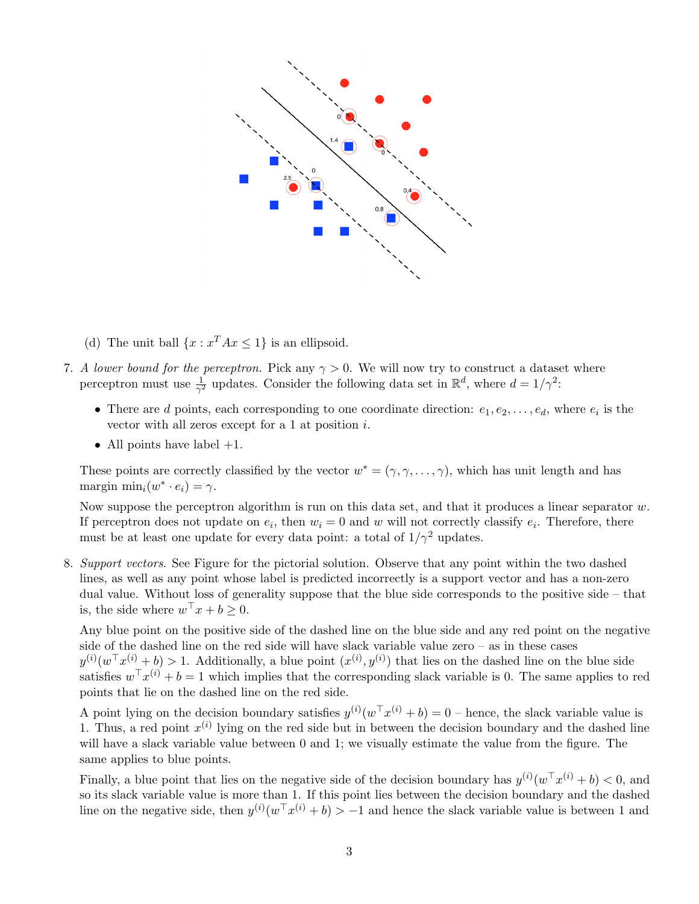

- (d) The unit ball  $\{x : x^T A x \leq 1\}$  is an ellipsoid.
- 7. A lower bound for the perceptron. Pick any  $\gamma > 0$ . We will now try to construct a dataset where perceptron must use  $\frac{1}{\gamma^2}$  updates. Consider the following data set in  $\mathbb{R}^d$ , where  $d = 1/\gamma^2$ :
	- There are d points, each corresponding to one coordinate direction:  $e_1, e_2, \ldots, e_d$ , where  $e_i$  is the vector with all zeros except for a 1 at position i.
	- All points have label  $+1$ .

These points are correctly classified by the vector  $w^* = (\gamma, \gamma, \dots, \gamma)$ , which has unit length and has margin  $\min_i(w^* \cdot e_i) = \gamma$ .

Now suppose the perceptron algorithm is run on this data set, and that it produces a linear separator  $w$ . If perceptron does not update on  $e_i$ , then  $w_i = 0$  and w will not correctly classify  $e_i$ . Therefore, there must be at least one update for every data point: a total of  $1/\gamma^2$  updates.

8. Support vectors. See Figure for the pictorial solution. Observe that any point within the two dashed lines, as well as any point whose label is predicted incorrectly is a support vector and has a non-zero dual value. Without loss of generality suppose that the blue side corresponds to the positive side – that is, the side where  $w^{\top} x + b \geq 0$ .

Any blue point on the positive side of the dashed line on the blue side and any red point on the negative side of the dashed line on the red side will have slack variable value zero – as in these cases  $y^{(i)}(w^{\top}x^{(i)}+b) > 1$ . Additionally, a blue point  $(x^{(i)}, y^{(i)})$  that lies on the dashed line on the blue side satisfies  $w^{\top} x^{(i)} + b = 1$  which implies that the corresponding slack variable is 0. The same applies to red points that lie on the dashed line on the red side.

A point lying on the decision boundary satisfies  $y^{(i)}(w^{\top}x^{(i)} + b) = 0$  – hence, the slack variable value is 1. Thus, a red point  $x^{(i)}$  lying on the red side but in between the decision boundary and the dashed line will have a slack variable value between 0 and 1; we visually estimate the value from the figure. The same applies to blue points.

Finally, a blue point that lies on the negative side of the decision boundary has  $y^{(i)}(w^{\top}x^{(i)} + b) < 0$ , and so its slack variable value is more than 1. If this point lies between the decision boundary and the dashed line on the negative side, then  $y^{(i)}(w^{\top}x^{(i)} + b) > -1$  and hence the slack variable value is between 1 and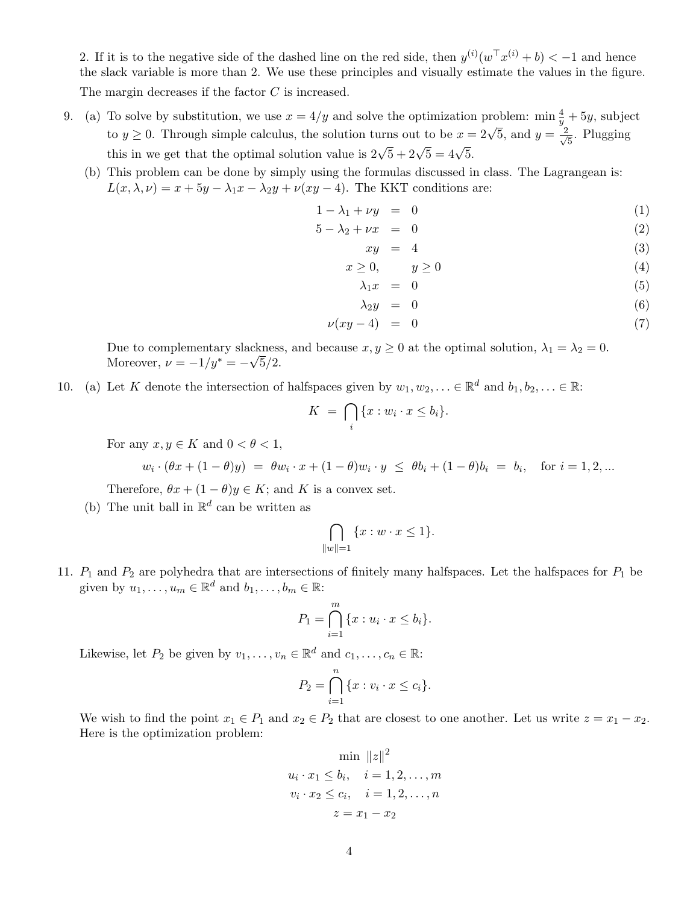2. If it is to the negative side of the dashed line on the red side, then  $y^{(i)}(w^{\top}x^{(i)} + b) < -1$  and hence the slack variable is more than 2. We use these principles and visually estimate the values in the figure. The margin decreases if the factor C is increased.

- 9. (a) To solve by substitution, we use  $x = 4/y$  and solve the optimization problem: min  $\frac{4}{y} + 5y$ , subject to y  $\geq$  0. Through simple calculus, the solution turns out to be  $x = 2\sqrt{5}$ , and  $y = \frac{2}{\sqrt{5}}$  $\frac{1}{5}$ . Plugging this in we get that the optimal solution value is  $2\sqrt{5} + 2\sqrt{5} = 4\sqrt{5}$ .
	- (b) This problem can be done by simply using the formulas discussed in class. The Lagrangean is:  $L(x, \lambda, \nu) = x + 5y - \lambda_1 x - \lambda_2 y + \nu (xy - 4)$ . The KKT conditions are:

$$
1 - \lambda_1 + \nu y = 0 \tag{1}
$$

$$
5 - \lambda_2 + \nu x = 0 \tag{2}
$$

$$
xy = 4 \tag{3}
$$

$$
x \ge 0, \qquad y \ge 0 \tag{4}
$$

$$
\lambda_1 x = 0 \tag{5}
$$

$$
\lambda_2 y = 0 \tag{6}
$$

$$
\nu(xy-4) = 0 \tag{7}
$$

Due to complementary slackness, and because  $x, y \ge 0$  at the optimal solution,  $\lambda_1 = \lambda_2 = 0$ . Moreover,  $\nu = -1/y^* = -\sqrt{5}/2$ .

10. (a) Let K denote the intersection of halfspaces given by  $w_1, w_2, \ldots \in \mathbb{R}^d$  and  $b_1, b_2, \ldots \in \mathbb{R}$ :

$$
K = \bigcap_i \{x : w_i \cdot x \le b_i\}.
$$

For any  $x, y \in K$  and  $0 < \theta < 1$ ,

$$
w_i \cdot (\theta x + (1 - \theta)y) = \theta w_i \cdot x + (1 - \theta) w_i \cdot y \le \theta b_i + (1 - \theta)b_i = b_i, \text{ for } i = 1, 2, ...
$$

Therefore,  $\theta x + (1 - \theta)y \in K$ ; and K is a convex set.

(b) The unit ball in  $\mathbb{R}^d$  can be written as

$$
\bigcap_{\|w\|=1} \{x:w\cdot x\leq 1\}.
$$

11.  $P_1$  and  $P_2$  are polyhedra that are intersections of finitely many halfspaces. Let the halfspaces for  $P_1$  be given by  $u_1, \ldots, u_m \in \mathbb{R}^d$  and  $b_1, \ldots, b_m \in \mathbb{R}$ :

$$
P_1 = \bigcap_{i=1}^m \{x : u_i \cdot x \le b_i\}.
$$

Likewise, let  $P_2$  be given by  $v_1, \ldots, v_n \in \mathbb{R}^d$  and  $c_1, \ldots, c_n \in \mathbb{R}$ :

$$
P_2 = \bigcap_{i=1}^n \{x : v_i \cdot x \le c_i\}.
$$

We wish to find the point  $x_1 \in P_1$  and  $x_2 \in P_2$  that are closest to one another. Let us write  $z = x_1 - x_2$ . Here is the optimization problem:

$$
\min_{u_i \cdot x_1 \le b_i, \quad i = 1, 2, ..., m} \|z\|^2
$$
  

$$
v_i \cdot x_2 \le c_i, \quad i = 1, 2, ..., n
$$
  

$$
z = x_1 - x_2
$$